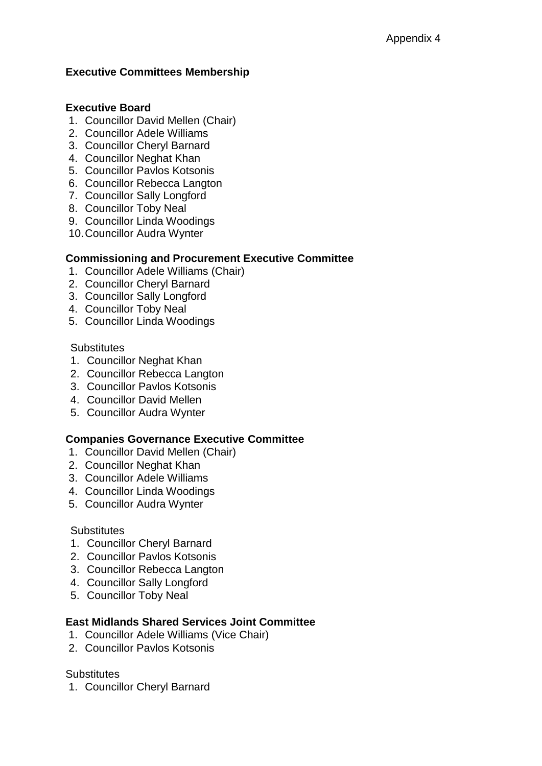## **Executive Committees Membership**

## **Executive Board**

- 1. Councillor David Mellen (Chair)
- 2. Councillor Adele Williams
- 3. Councillor Cheryl Barnard
- 4. Councillor Neghat Khan
- 5. Councillor Pavlos Kotsonis
- 6. Councillor Rebecca Langton
- 7. Councillor Sally Longford
- 8. Councillor Toby Neal
- 9. Councillor Linda Woodings
- 10.Councillor Audra Wynter

### **Commissioning and Procurement Executive Committee**

- 1. Councillor Adele Williams (Chair)
- 2. Councillor Cheryl Barnard
- 3. Councillor Sally Longford
- 4. Councillor Toby Neal
- 5. Councillor Linda Woodings

#### **Substitutes**

- 1. Councillor Neghat Khan
- 2. Councillor Rebecca Langton
- 3. Councillor Pavlos Kotsonis
- 4. Councillor David Mellen
- 5. Councillor Audra Wynter

#### **Companies Governance Executive Committee**

- 1. Councillor David Mellen (Chair)
- 2. Councillor Neghat Khan
- 3. Councillor Adele Williams
- 4. Councillor Linda Woodings
- 5. Councillor Audra Wynter

#### **Substitutes**

- 1. Councillor Cheryl Barnard
- 2. Councillor Pavlos Kotsonis
- 3. Councillor Rebecca Langton
- 4. Councillor Sally Longford
- 5. Councillor Toby Neal

#### **East Midlands Shared Services Joint Committee**

- 1. Councillor Adele Williams (Vice Chair)
- 2. Councillor Pavlos Kotsonis

#### **Substitutes**

1. Councillor Cheryl Barnard